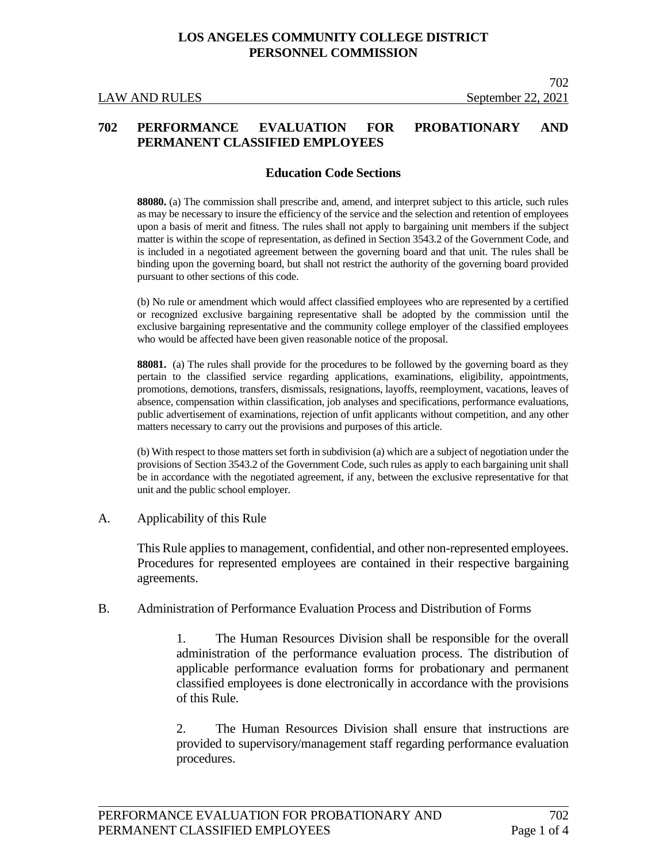### **702 PERFORMANCE EVALUATION FOR PROBATIONARY AND PERMANENT CLASSIFIED EMPLOYEES**

### **Education Code Sections**

**88080.** (a) The commission shall prescribe and, amend, and interpret subject to this article, such rules as may be necessary to insure the efficiency of the service and the selection and retention of employees upon a basis of merit and fitness. The rules shall not apply to bargaining unit members if the subject matter is within the scope of representation, as defined in Section 3543.2 of the Government Code, and is included in a negotiated agreement between the governing board and that unit. The rules shall be binding upon the governing board, but shall not restrict the authority of the governing board provided pursuant to other sections of this code.

(b) No rule or amendment which would affect classified employees who are represented by a certified or recognized exclusive bargaining representative shall be adopted by the commission until the exclusive bargaining representative and the community college employer of the classified employees who would be affected have been given reasonable notice of the proposal.

**88081.** (a) The rules shall provide for the procedures to be followed by the governing board as they pertain to the classified service regarding applications, examinations, eligibility, appointments, promotions, demotions, transfers, dismissals, resignations, layoffs, reemployment, vacations, leaves of absence, compensation within classification, job analyses and specifications, performance evaluations, public advertisement of examinations, rejection of unfit applicants without competition, and any other matters necessary to carry out the provisions and purposes of this article.

(b) With respect to those matters set forth in subdivision (a) which are a subject of negotiation under the provisions of Section 3543.2 of the Government Code, such rules as apply to each bargaining unit shall be in accordance with the negotiated agreement, if any, between the exclusive representative for that unit and the public school employer.

#### A. Applicability of this Rule

This Rule applies to management, confidential, and other non-represented employees. Procedures for represented employees are contained in their respective bargaining agreements.

B. Administration of Performance Evaluation Process and Distribution of Forms

1. The Human Resources Division shall be responsible for the overall administration of the performance evaluation process. The distribution of applicable performance evaluation forms for probationary and permanent classified employees is done electronically in accordance with the provisions of this Rule.

2. The Human Resources Division shall ensure that instructions are provided to supervisory/management staff regarding performance evaluation procedures.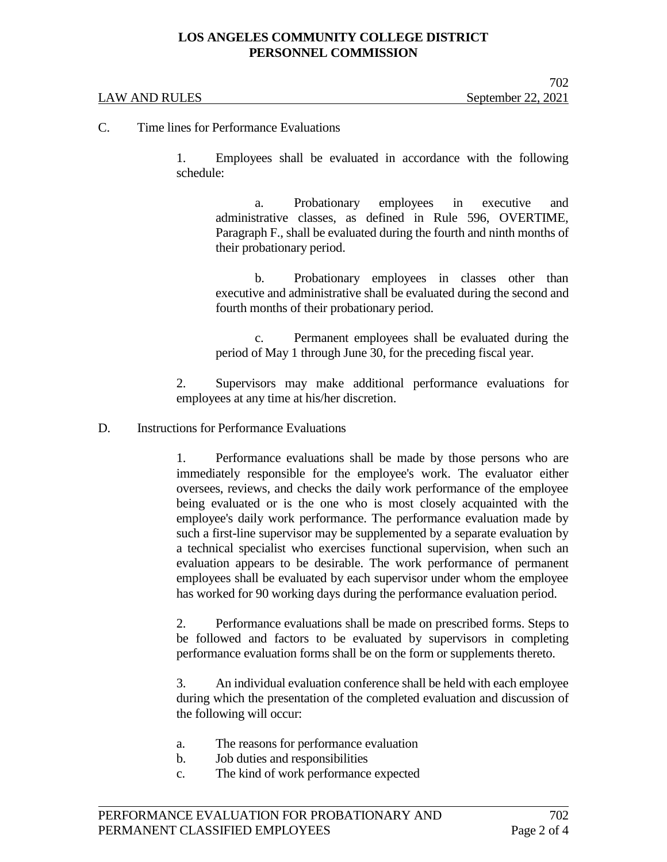# **LOS ANGELES COMMUNITY COLLEGE DISTRICT PERSONNEL COMMISSION**

#### LAW AND RULES September 22, 2021

C. Time lines for Performance Evaluations

1. Employees shall be evaluated in accordance with the following schedule:

a. Probationary employees in executive and administrative classes, as defined in Rule 596, OVERTIME, Paragraph F., shall be evaluated during the fourth and ninth months of their probationary period.

b. Probationary employees in classes other than executive and administrative shall be evaluated during the second and fourth months of their probationary period.

c. Permanent employees shall be evaluated during the period of May 1 through June 30, for the preceding fiscal year.

2. Supervisors may make additional performance evaluations for employees at any time at his/her discretion.

D. Instructions for Performance Evaluations

1. Performance evaluations shall be made by those persons who are immediately responsible for the employee's work. The evaluator either oversees, reviews, and checks the daily work performance of the employee being evaluated or is the one who is most closely acquainted with the employee's daily work performance. The performance evaluation made by such a first-line supervisor may be supplemented by a separate evaluation by a technical specialist who exercises functional supervision, when such an evaluation appears to be desirable. The work performance of permanent employees shall be evaluated by each supervisor under whom the employee has worked for 90 working days during the performance evaluation period.

2. Performance evaluations shall be made on prescribed forms. Steps to be followed and factors to be evaluated by supervisors in completing performance evaluation forms shall be on the form or supplements thereto.

3. An individual evaluation conference shall be held with each employee during which the presentation of the completed evaluation and discussion of the following will occur:

- a. The reasons for performance evaluation
- b. Job duties and responsibilities
- c. The kind of work performance expected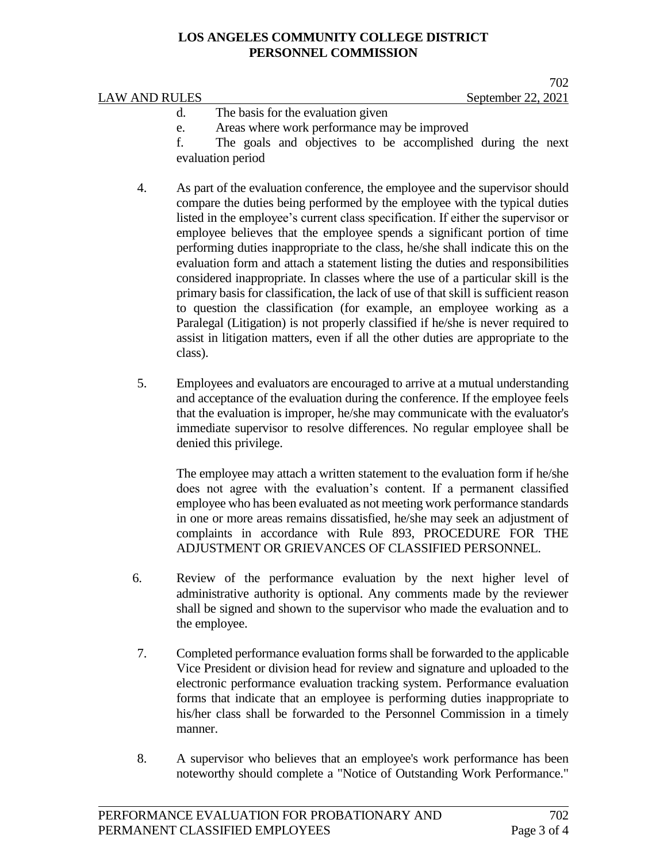# **LOS ANGELES COMMUNITY COLLEGE DISTRICT PERSONNEL COMMISSION**

|               | $\sqrt{2}$                                                  |
|---------------|-------------------------------------------------------------|
| LAW AND RULES | September 22, 2021                                          |
|               | The basis for the evaluation given                          |
| e.            | Areas where work performance may be improved                |
|               | The goals and objectives to be accomplished during the next |

- f. The goals and objectives to be accomplished during the next evaluation period
- 4. As part of the evaluation conference, the employee and the supervisor should compare the duties being performed by the employee with the typical duties listed in the employee's current class specification. If either the supervisor or employee believes that the employee spends a significant portion of time performing duties inappropriate to the class, he/she shall indicate this on the evaluation form and attach a statement listing the duties and responsibilities considered inappropriate. In classes where the use of a particular skill is the primary basis for classification, the lack of use of that skill is sufficient reason to question the classification (for example, an employee working as a Paralegal (Litigation) is not properly classified if he/she is never required to assist in litigation matters, even if all the other duties are appropriate to the class).
- 5. Employees and evaluators are encouraged to arrive at a mutual understanding and acceptance of the evaluation during the conference. If the employee feels that the evaluation is improper, he/she may communicate with the evaluator's immediate supervisor to resolve differences. No regular employee shall be denied this privilege.

The employee may attach a written statement to the evaluation form if he/she does not agree with the evaluation's content. If a permanent classified employee who has been evaluated as not meeting work performance standards in one or more areas remains dissatisfied, he/she may seek an adjustment of complaints in accordance with Rule 893, PROCEDURE FOR THE ADJUSTMENT OR GRIEVANCES OF CLASSIFIED PERSONNEL.

- 6. Review of the performance evaluation by the next higher level of administrative authority is optional. Any comments made by the reviewer shall be signed and shown to the supervisor who made the evaluation and to the employee.
- 7. Completed performance evaluation forms shall be forwarded to the applicable Vice President or division head for review and signature and uploaded to the electronic performance evaluation tracking system. Performance evaluation forms that indicate that an employee is performing duties inappropriate to his/her class shall be forwarded to the Personnel Commission in a timely manner.
- 8. A supervisor who believes that an employee's work performance has been noteworthy should complete a "Notice of Outstanding Work Performance."

 $702$